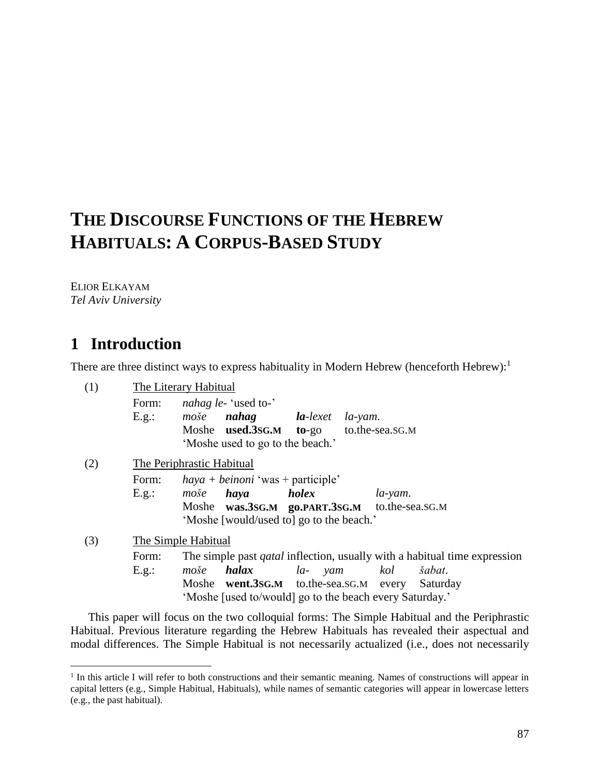# **THE DISCOURSE FUNCTIONS OF THE HEBREW HABITUALS: A CORPUS-BASED STUDY**

ELIOR ELKAYAM *Tel Aviv University*

# **1** Introduction

 $\overline{a}$ 

There are three distinct ways to express habituality in Modern Hebrew (henceforth Hebrew):<sup>1</sup>

| (1) |       | The Literary Habitual                                                            |
|-----|-------|----------------------------------------------------------------------------------|
|     | Form: | <i>nahag le-'used to-'</i>                                                       |
|     | E.g.: | <b>la</b> -lexet<br>nahag<br>moše<br>$la$ -yam.                                  |
|     |       | Moshe <b>used.3sG.M</b> to-go<br>to.the-sea.sG.M                                 |
|     |       | 'Moshe used to go to the beach.'                                                 |
| (2) |       | The Periphrastic Habitual                                                        |
|     | Form: | $haya + beinoni$ 'was + participle'                                              |
|     | E.g.: | <i>holex</i><br>haya<br>moše<br>$la$ -yam.                                       |
|     |       | to.the-sea.sg.M<br>Moshe was.3sG.M go.PART.3sG.M                                 |
|     |       | 'Moshe [would/used to] go to the beach.'                                         |
| (3) |       | The Simple Habitual                                                              |
|     | Form: | The simple past <i>qatal</i> inflection, usually with a habitual time expression |
|     | E.g.: | halax<br>la- yam<br>kol<br>šabat.<br>moše                                        |
|     |       | Moshe went.3sG.M to.the-sea.sG.M every<br>Saturday                               |
|     |       | 'Moshe [used to/would] go to the beach every Saturday.'                          |

This paper will focus on the two colloquial forms: The Simple Habitual and the Periphrastic Habitual. Previous literature regarding the Hebrew Habituals has revealed their aspectual and modal differences. The Simple Habitual is not necessarily actualized (i.e., does not necessarily

<sup>&</sup>lt;sup>1</sup> In this article I will refer to both constructions and their semantic meaning. Names of constructions will appear in capital letters (e.g., Simple Habitual, Habituals), while names of semantic categories will appear in lowercase letters (e.g., the past habitual).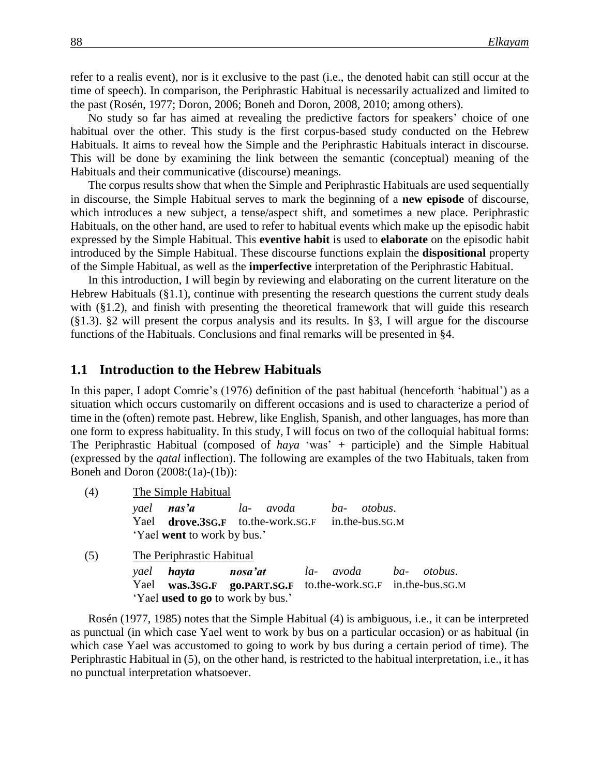refer to a realis event), nor is it exclusive to the past (i.e., the denoted habit can still occur at the time of speech). In comparison, the Periphrastic Habitual is necessarily actualized and limited to the past (Rosén, 1977; Doron, 2006; Boneh and Doron, 2008, 2010; among others).

No study so far has aimed at revealing the predictive factors for speakers' choice of one habitual over the other. This study is the first corpus-based study conducted on the Hebrew Habituals. It aims to reveal how the Simple and the Periphrastic Habituals interact in discourse. This will be done by examining the link between the semantic (conceptual) meaning of the Habituals and their communicative (discourse) meanings.

The corpus results show that when the Simple and Periphrastic Habituals are used sequentially in discourse, the Simple Habitual serves to mark the beginning of a **new episode** of discourse, which introduces a new subject, a tense/aspect shift, and sometimes a new place. Periphrastic Habituals, on the other hand, are used to refer to habitual events which make up the episodic habit expressed by the Simple Habitual. This **eventive habit** is used to **elaborate** on the episodic habit introduced by the Simple Habitual. These discourse functions explain the **dispositional** property of the Simple Habitual, as well as the **imperfective** interpretation of the Periphrastic Habitual.

In this introduction, I will begin by reviewing and elaborating on the current literature on the Hebrew Habituals (§1.1), continue with presenting the research questions the current study deals with (§1.2), and finish with presenting the theoretical framework that will guide this research (§1.3). §2 will present the corpus analysis and its results. In §3, I will argue for the discourse functions of the Habituals. Conclusions and final remarks will be presented in §4.

#### **1.1 Introduction to the Hebrew Habituals**

In this paper, I adopt Comrie's (1976) definition of the past habitual (henceforth 'habitual') as a situation which occurs customarily on different occasions and is used to characterize a period of time in the (often) remote past. Hebrew, like English, Spanish, and other languages, has more than one form to express habituality. In this study, I will focus on two of the colloquial habitual forms: The Periphrastic Habitual (composed of *haya* 'was' *+* participle) and the Simple Habitual (expressed by the *qatal* inflection). The following are examples of the two Habituals, taken from Boneh and Doron (2008:(1a)-(1b)):

(4) The Simple Habitual

|                                    | yael <b>nas'a</b> | la- avoda ba- otobus.                                    |  |  |  |  |  |
|------------------------------------|-------------------|----------------------------------------------------------|--|--|--|--|--|
|                                    |                   | Yael <b>drove.3sG.F</b> to.the-work.sG.F in.the-bus.sG.M |  |  |  |  |  |
| 'Yael <b>went</b> to work by bus.' |                   |                                                          |  |  |  |  |  |

(5) The Periphrastic Habitual

| yael <b>hayta</b> |                                          | <b>nosa'at</b> la- avoda ba- otobus.                         |  |
|-------------------|------------------------------------------|--------------------------------------------------------------|--|
|                   |                                          | Yael was.3SG.F go.PART.SG.F to.the-work.SG.F in.the-bus.SG.M |  |
|                   | 'Yael <b>used to go</b> to work by bus.' |                                                              |  |

Rosén (1977, 1985) notes that the Simple Habitual (4) is ambiguous, i.e., it can be interpreted as punctual (in which case Yael went to work by bus on a particular occasion) or as habitual (in which case Yael was accustomed to going to work by bus during a certain period of time). The Periphrastic Habitual in (5), on the other hand, is restricted to the habitual interpretation, i.e., it has no punctual interpretation whatsoever.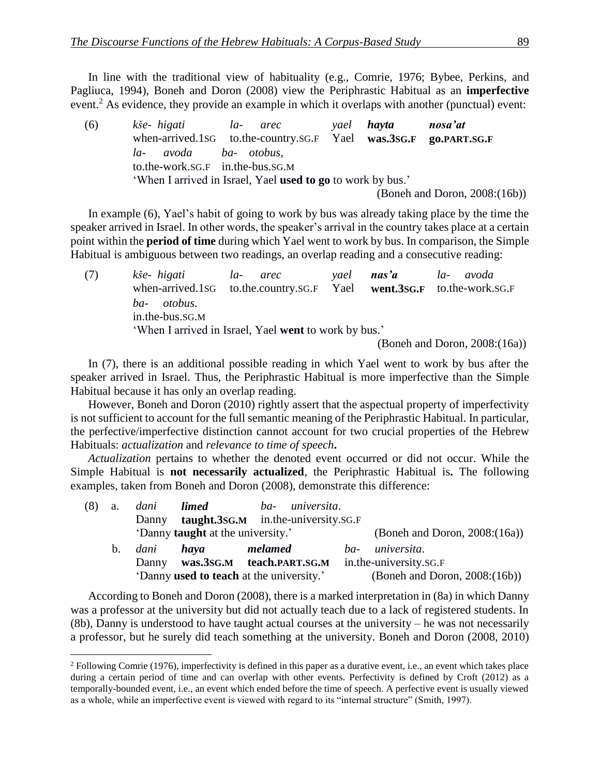In line with the traditional view of habituality (e.g., Comrie, 1976; Bybee, Perkins, and Pagliuca, 1994), Boneh and Doron (2008) view the Periphrastic Habitual as an **imperfective** event.<sup>2</sup> As evidence, they provide an example in which it overlaps with another (punctual) event:

| (6) | kše-higati                       | la- arec                                                         |  | yael <b>hayta</b> | nosa'at                          |  |  |  |
|-----|----------------------------------|------------------------------------------------------------------|--|-------------------|----------------------------------|--|--|--|
|     |                                  | when-arrived.1sG to.the-country.sG.F Yael was.3SG.F go.PART.SG.F |  |                   |                                  |  |  |  |
|     | avoda ba-otobus,<br>$la$ -       |                                                                  |  |                   |                                  |  |  |  |
|     | to.the-work.sG.F in.the-bus.sG.M |                                                                  |  |                   |                                  |  |  |  |
|     |                                  | 'When I arrived in Israel, Yael used to go to work by bus.'      |  |                   |                                  |  |  |  |
|     |                                  |                                                                  |  |                   | (Boneh and Doron, $2008:(16b)$ ) |  |  |  |

In example (6), Yael's habit of going to work by bus was already taking place by the time the speaker arrived in Israel. In other words, the speaker's arrival in the country takes place at a certain point within the **period of time** during which Yael went to work by bus. In comparison, the Simple Habitual is ambiguous between two readings, an overlap reading and a consecutive reading:

(7) *kše- higati la- arec yael nas'a la- avoda* when-arrived.1SG to.the.country.SG.F Yael **went.3SG.F** to.the-work.SG.F *ba- otobus*. in.the-bus.SG.M 'When I arrived in Israel, Yael **went** to work by bus.'

(Boneh and Doron, 2008:(16a))

In (7), there is an additional possible reading in which Yael went to work by bus after the speaker arrived in Israel. Thus, the Periphrastic Habitual is more imperfective than the Simple Habitual because it has only an overlap reading.

However, Boneh and Doron (2010) rightly assert that the aspectual property of imperfectivity is not sufficient to account for the full semantic meaning of the Periphrastic Habitual. In particular, the perfective/imperfective distinction cannot account for two crucial properties of the Hebrew Habituals: *actualization* and *relevance to time of speech***.** 

*Actualization* pertains to whether the denoted event occurred or did not occur. While the Simple Habitual is **not necessarily actualized**, the Periphrastic Habitual is**.** The following examples, taken from Boneh and Doron (2008), demonstrate this difference:

| (8) | a.          | dani  | <i>limed</i>                             | ba- universita.                                 |     |                                  |
|-----|-------------|-------|------------------------------------------|-------------------------------------------------|-----|----------------------------------|
|     |             | Danny |                                          | <b>taught.3sg.M</b> in.the-university.sg.F      |     |                                  |
|     |             |       | 'Danny <b>taught</b> at the university.' |                                                 |     | (Boneh and Doron, $2008:(16a)$ ) |
|     | $b_{\cdot}$ | dani  | haya                                     | melamed                                         | ba- | universita.                      |
|     |             | Danny |                                          | was.3SG.M teach.PART.SG.M                       |     | in.the-university.sg.F           |
|     |             |       |                                          | 'Danny <b>used to teach</b> at the university.' |     | (Boneh and Doron, $2008:(16b)$ ) |

According to Boneh and Doron (2008), there is a marked interpretation in (8a) in which Danny was a professor at the university but did not actually teach due to a lack of registered students. In (8b), Danny is understood to have taught actual courses at the university – he was not necessarily a professor, but he surely did teach something at the university. Boneh and Doron (2008, 2010)

<sup>2</sup> Following Comrie (1976), imperfectivity is defined in this paper as a durative event, i.e., an event which takes place during a certain period of time and can overlap with other events. Perfectivity is defined by Croft (2012) as a temporally-bounded event, i.e., an event which ended before the time of speech. A perfective event is usually viewed as a whole, while an imperfective event is viewed with regard to its "internal structure" (Smith, 1997).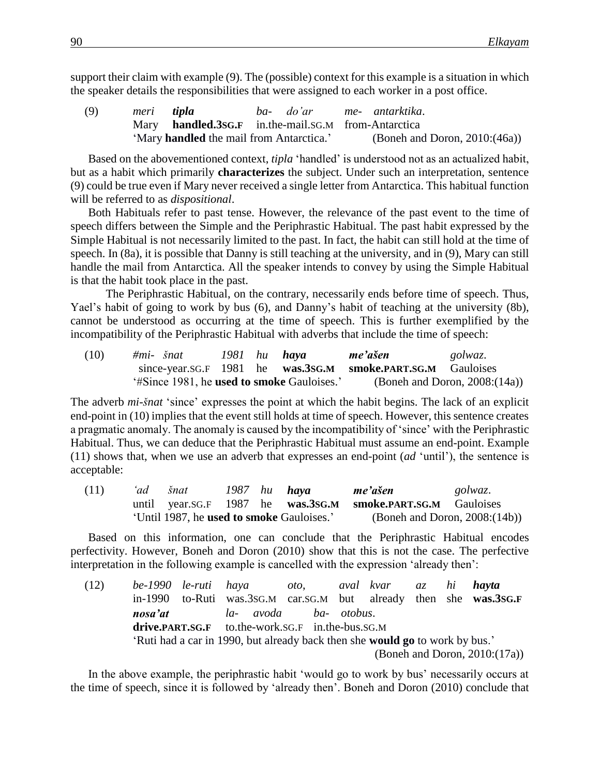support their claim with example (9). The (possible) context for this example is a situation in which the speaker details the responsibilities that were assigned to each worker in a post office.

(9) *meri tipla ba- do'ar me- antarktika*. Mary **handled.3SG.F** in.the-mail.SG.M from-Antarctica 'Mary **handled** the mail from Antarctica.' (Boneh and Doron, 2010:(46a))

Based on the abovementioned context, *tipla* 'handled' is understood not as an actualized habit, but as a habit which primarily **characterizes** the subject. Under such an interpretation, sentence (9) could be true even if Mary never received a single letter from Antarctica. This habitual function will be referred to as *dispositional*.

Both Habituals refer to past tense. However, the relevance of the past event to the time of speech differs between the Simple and the Periphrastic Habitual. The past habit expressed by the Simple Habitual is not necessarily limited to the past. In fact, the habit can still hold at the time of speech. In (8a), it is possible that Danny is still teaching at the university, and in (9), Mary can still handle the mail from Antarctica. All the speaker intends to convey by using the Simple Habitual is that the habit took place in the past.

The Periphrastic Habitual, on the contrary, necessarily ends before time of speech. Thus, Yael's habit of going to work by bus (6), and Danny's habit of teaching at the university (8b), cannot be understood as occurring at the time of speech. This is further exemplified by the incompatibility of the Periphrastic Habitual with adverbs that include the time of speech:

| (10) | $\#mi$ - $\check{s}nat$                                   |  | 1981 hu <b>hava</b> | me'ašen                                                     | golwaz.                          |
|------|-----------------------------------------------------------|--|---------------------|-------------------------------------------------------------|----------------------------------|
|      |                                                           |  |                     | since-year.sG.F 1981 he was.3sG.M smoke.PART.SG.M Gauloises |                                  |
|      | <i>'</i> #Since 1981, he <b>used to smoke</b> Gauloises.' |  |                     |                                                             | (Boneh and Doron, $2008:(14a)$ ) |

The adverb *mi-šnat* 'since' expresses the point at which the habit begins. The lack of an explicit end-point in (10) implies that the event still holds at time of speech. However, this sentence creates a pragmatic anomaly. The anomaly is caused by the incompatibility of 'since' with the Periphrastic Habitual. Thus, we can deduce that the Periphrastic Habitual must assume an end-point. Example (11) shows that, when we use an adverb that expresses an end-point (*ad* 'until'), the sentence is acceptable:

| (11) | 'ad . | šnat                                      |  | 1987 hu <b>haya</b> | me'ašen                                                     | golwaz. |  |
|------|-------|-------------------------------------------|--|---------------------|-------------------------------------------------------------|---------|--|
|      |       |                                           |  |                     | until year.sG.F 1987 he was.3SG.M smoke.PART.SG.M Gauloises |         |  |
|      |       | 'Until 1987, he used to smoke Gauloises.' |  |                     | (Boneh and Doron, $2008:(14b)$ )                            |         |  |

Based on this information, one can conclude that the Periphrastic Habitual encodes perfectivity. However, Boneh and Doron (2010) show that this is not the case. The perfective interpretation in the following example is cancelled with the expression 'already then':

| (12) | be-1990 le-ruti haya                                                         |  |                                                                   | oto, aval kvar az hi <b>hayta</b> |  |  |  |  |                                  |
|------|------------------------------------------------------------------------------|--|-------------------------------------------------------------------|-----------------------------------|--|--|--|--|----------------------------------|
|      |                                                                              |  | in-1990 to-Ruti was.3sG.M car.sG.M but already then she was.3sG.F |                                   |  |  |  |  |                                  |
|      | nosa'at                                                                      |  | la- avoda ba- otobus.                                             |                                   |  |  |  |  |                                  |
|      | drive.PART.SG.F to.the-work.SG.F in.the-bus.SG.M                             |  |                                                                   |                                   |  |  |  |  |                                  |
|      | 'Ruti had a car in 1990, but already back then she would go to work by bus.' |  |                                                                   |                                   |  |  |  |  |                                  |
|      |                                                                              |  |                                                                   |                                   |  |  |  |  | (Boneh and Doron, $2010:(17a)$ ) |

In the above example, the periphrastic habit 'would go to work by bus' necessarily occurs at the time of speech, since it is followed by 'already then'. Boneh and Doron (2010) conclude that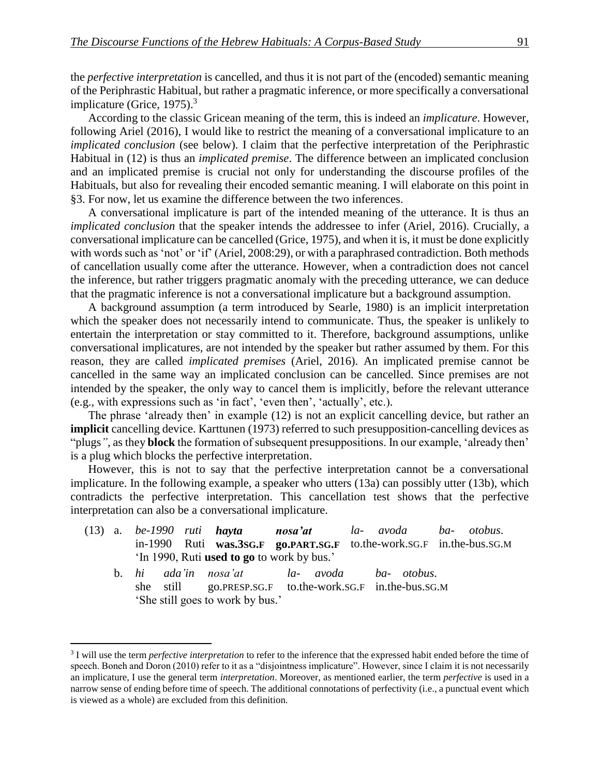the *perfective interpretation* is cancelled, and thus it is not part of the (encoded) semantic meaning of the Periphrastic Habitual, but rather a pragmatic inference, or more specifically a conversational implicature (Grice, 1975).<sup>3</sup>

According to the classic Gricean meaning of the term, this is indeed an *implicature*. However, following Ariel (2016), I would like to restrict the meaning of a conversational implicature to an *implicated conclusion* (see below). I claim that the perfective interpretation of the Periphrastic Habitual in (12) is thus an *implicated premise*. The difference between an implicated conclusion and an implicated premise is crucial not only for understanding the discourse profiles of the Habituals, but also for revealing their encoded semantic meaning. I will elaborate on this point in §3. For now, let us examine the difference between the two inferences.

A conversational implicature is part of the intended meaning of the utterance. It is thus an *implicated conclusion* that the speaker intends the addressee to infer (Ariel, 2016). Crucially, a conversational implicature can be cancelled (Grice, 1975), and when it is, it must be done explicitly with words such as 'not' or 'if' (Ariel, 2008:29), or with a paraphrased contradiction. Both methods of cancellation usually come after the utterance. However, when a contradiction does not cancel the inference, but rather triggers pragmatic anomaly with the preceding utterance, we can deduce that the pragmatic inference is not a conversational implicature but a background assumption.

A background assumption (a term introduced by Searle, 1980) is an implicit interpretation which the speaker does not necessarily intend to communicate. Thus, the speaker is unlikely to entertain the interpretation or stay committed to it. Therefore, background assumptions, unlike conversational implicatures, are not intended by the speaker but rather assumed by them. For this reason, they are called *implicated premises* (Ariel, 2016). An implicated premise cannot be cancelled in the same way an implicated conclusion can be cancelled. Since premises are not intended by the speaker, the only way to cancel them is implicitly, before the relevant utterance (e.g., with expressions such as 'in fact', 'even then', 'actually', etc.).

The phrase 'already then' in example (12) is not an explicit cancelling device, but rather an **implicit** cancelling device. Karttunen (1973) referred to such presupposition-cancelling devices as "plugs*"*, as they **block** the formation of subsequent presuppositions. In our example, 'already then' is a plug which blocks the perfective interpretation.

However, this is not to say that the perfective interpretation cannot be a conversational implicature. In the following example, a speaker who utters (13a) can possibly utter (13b), which contradicts the perfective interpretation. This cancellation test shows that the perfective interpretation can also be a conversational implicature.

- (13) a. *be-1990 ruti hayta nosa'at la- avoda ba- otobus*. in-1990 Ruti **was.3SG.F go.PART.SG.F** to.the-work.SG.F in.the-bus.SG.M 'In 1990, Ruti **used to go** to work by bus.'
	- b. *hi ada'in nosa'at la- avoda ba- otobus*. she still go.PRESP.SG.F to.the-work.SG.F in.the-bus.SG.M 'She still goes to work by bus.'

<sup>3</sup> I will use the term *perfective interpretation* to refer to the inference that the expressed habit ended before the time of speech. Boneh and Doron (2010) refer to it as a "disjointness implicature". However, since I claim it is not necessarily an implicature, I use the general term *interpretation*. Moreover, as mentioned earlier, the term *perfective* is used in a narrow sense of ending before time of speech. The additional connotations of perfectivity (i.e., a punctual event which is viewed as a whole) are excluded from this definition.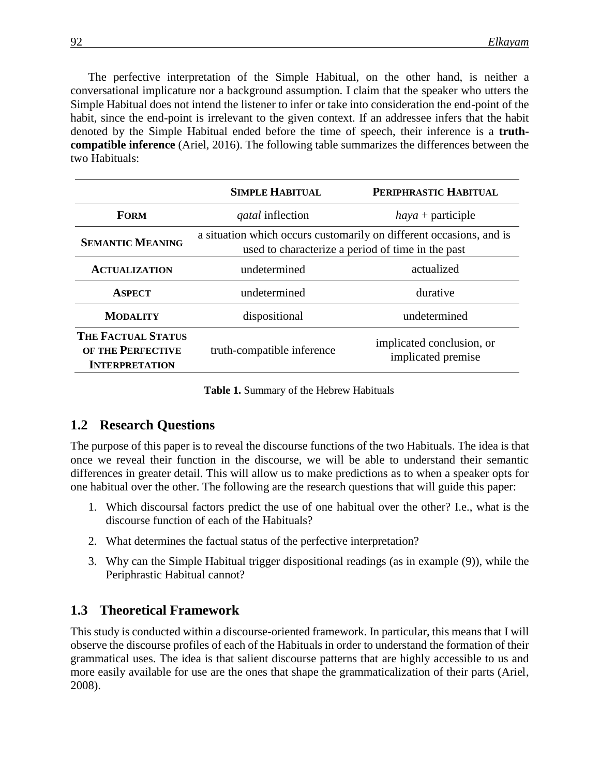The perfective interpretation of the Simple Habitual, on the other hand, is neither a conversational implicature nor a background assumption. I claim that the speaker who utters the Simple Habitual does not intend the listener to infer or take into consideration the end-point of the habit, since the end-point is irrelevant to the given context. If an addressee infers that the habit denoted by the Simple Habitual ended before the time of speech, their inference is a **truthcompatible inference** (Ariel, 2016). The following table summarizes the differences between the two Habituals:

|                                                                         | <b>SIMPLE HABITUAL</b>                                                                                                   | PERIPHRASTIC HABITUAL                           |
|-------------------------------------------------------------------------|--------------------------------------------------------------------------------------------------------------------------|-------------------------------------------------|
| <b>FORM</b>                                                             | <i>gatal</i> inflection                                                                                                  | $haya +$ participle                             |
| <b>SEMANTIC MEANING</b>                                                 | a situation which occurs customarily on different occasions, and is<br>used to characterize a period of time in the past |                                                 |
| <b>ACTUALIZATION</b>                                                    | undetermined                                                                                                             | actualized                                      |
| <b>ASPECT</b>                                                           | undetermined                                                                                                             | durative                                        |
| <b>MODALITY</b>                                                         | dispositional                                                                                                            | undetermined                                    |
| <b>THE FACTUAL STATUS</b><br>OF THE PERFECTIVE<br><b>INTERPRETATION</b> | truth-compatible inference                                                                                               | implicated conclusion, or<br>implicated premise |

**Table 1.** Summary of the Hebrew Habituals

#### **1.2** Research Questions

The purpose of this paper is to reveal the discourse functions of the two Habituals. The idea is that once we reveal their function in the discourse, we will be able to understand their semantic differences in greater detail. This will allow us to make predictions as to when a speaker opts for one habitual over the other. The following are the research questions that will guide this paper:

- 1. Which discoursal factors predict the use of one habitual over the other? I.e., what is the discourse function of each of the Habituals?
- 2. What determines the factual status of the perfective interpretation?
- 3. Why can the Simple Habitual trigger dispositional readings (as in example (9)), while the Periphrastic Habitual cannot?

#### **1.3** Theoretical Framework

This study is conducted within a discourse-oriented framework. In particular, this means that I will observe the discourse profiles of each of the Habituals in order to understand the formation of their grammatical uses. The idea is that salient discourse patterns that are highly accessible to us and more easily available for use are the ones that shape the grammaticalization of their parts (Ariel, 2008).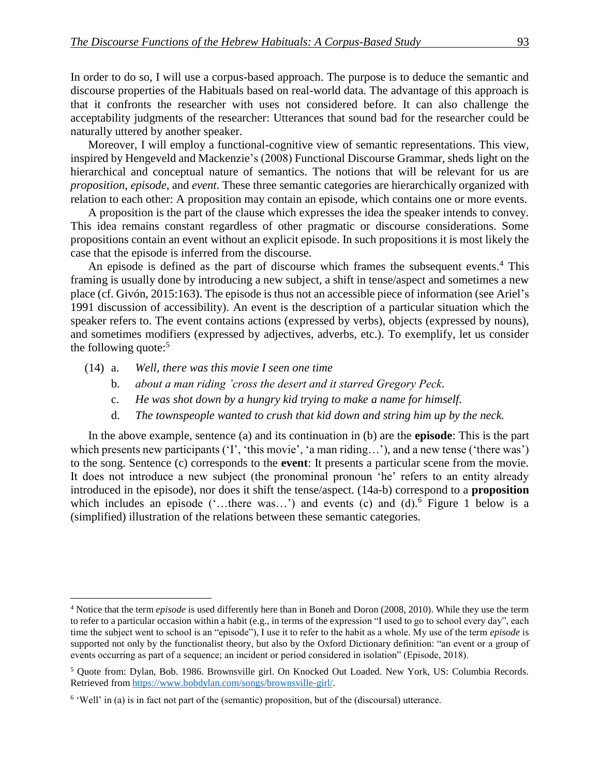In order to do so, I will use a corpus-based approach. The purpose is to deduce the semantic and discourse properties of the Habituals based on real-world data. The advantage of this approach is that it confronts the researcher with uses not considered before. It can also challenge the acceptability judgments of the researcher: Utterances that sound bad for the researcher could be naturally uttered by another speaker.

Moreover, I will employ a functional-cognitive view of semantic representations. This view, inspired by Hengeveld and Mackenzie's (2008) Functional Discourse Grammar, sheds light on the hierarchical and conceptual nature of semantics. The notions that will be relevant for us are *proposition*, *episode*, and *event*. These three semantic categories are hierarchically organized with relation to each other: A proposition may contain an episode, which contains one or more events.

A proposition is the part of the clause which expresses the idea the speaker intends to convey. This idea remains constant regardless of other pragmatic or discourse considerations. Some propositions contain an event without an explicit episode. In such propositions it is most likely the case that the episode is inferred from the discourse.

An episode is defined as the part of discourse which frames the subsequent events.<sup>4</sup> This framing is usually done by introducing a new subject, a shift in tense/aspect and sometimes a new place (cf. Givón, 2015:163). The episode is thus not an accessible piece of information (see Ariel's 1991 discussion of accessibility). An event is the description of a particular situation which the speaker refers to. The event contains actions (expressed by verbs), objects (expressed by nouns), and sometimes modifiers (expressed by adjectives, adverbs, etc.). To exemplify, let us consider the following quote: $5$ 

(14) a. *Well, there was this movie I seen one time*

 $\overline{a}$ 

- b. *about a man riding 'cross the desert and it starred Gregory Peck.*
- c. *He was shot down by a hungry kid trying to make a name for himself.*
- d. *The townspeople wanted to crush that kid down and string him up by the neck.*

In the above example, sentence (a) and its continuation in (b) are the **episode**: This is the part which presents new participants ('I', 'this movie', 'a man riding...'), and a new tense ('there was') to the song. Sentence (c) corresponds to the **event**: It presents a particular scene from the movie. It does not introduce a new subject (the pronominal pronoun 'he' refers to an entity already introduced in the episode), nor does it shift the tense/aspect. (14a-b) correspond to a **proposition** which includes an episode ('...there was...') and events (c) and (d).<sup>6</sup> Figure 1 below is a (simplified) illustration of the relations between these semantic categories.

<sup>4</sup> Notice that the term *episode* is used differently here than in Boneh and Doron (2008, 2010). While they use the term to refer to a particular occasion within a habit (e.g., in terms of the expression "I used to go to school every day", each time the subject went to school is an "episode"), I use it to refer to the habit as a whole. My use of the term *episode* is supported not only by the functionalist theory, but also by the Oxford Dictionary definition: "an event or a group of events occurring as part of a sequence; an incident or period considered in isolation" (Episode, 2018).

<sup>5</sup> Quote from: Dylan, Bob. 1986. Brownsville girl. On Knocked Out Loaded. New York, US: Columbia Records. Retrieved from [https://www.bobdylan.com/songs/brownsville-girl/.](https://www.bobdylan.com/songs/brownsville-girl/)

 $6$  'Well' in (a) is in fact not part of the (semantic) proposition, but of the (discoursal) utterance.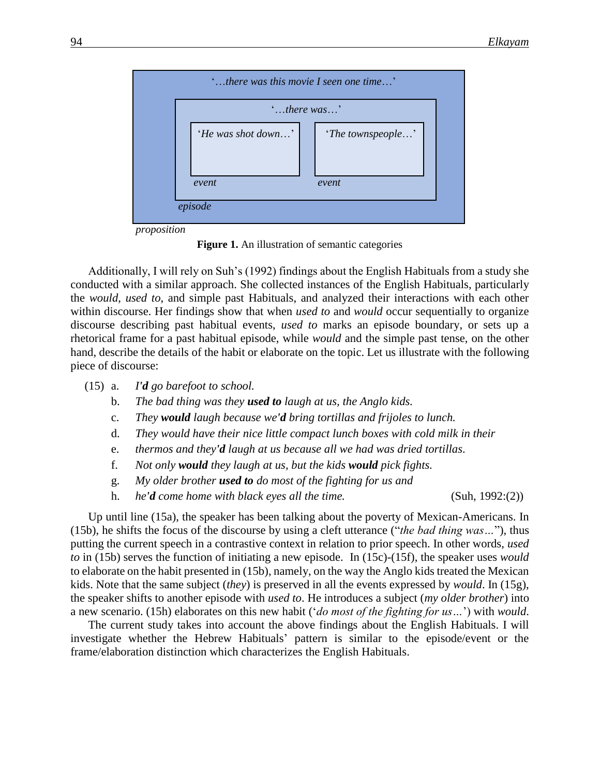

**Figure 1.** An illustration of semantic categories

Additionally, I will rely on Suh's (1992) findings about the English Habituals from a study she conducted with a similar approach. She collected instances of the English Habituals, particularly the *would*, *used to*, and simple past Habituals, and analyzed their interactions with each other within discourse. Her findings show that when *used to* and *would* occur sequentially to organize discourse describing past habitual events, *used to* marks an episode boundary, or sets up a rhetorical frame for a past habitual episode, while *would* and the simple past tense, on the other hand, describe the details of the habit or elaborate on the topic. Let us illustrate with the following piece of discourse:

- (15) a. *I'd go barefoot to school.*
	- b. *The bad thing was they used to laugh at us, the Anglo kids.*
	- c. *They would laugh because we'd bring tortillas and frijoles to lunch.*
	- d. *They would have their nice little compact lunch boxes with cold milk in their*
	- e. *thermos and they'd laugh at us because all we had was dried tortillas.*
	- f. *Not only would they laugh at us, but the kids would pick fights.*
	- g. *My older brother used to do most of the fighting for us and*
	- h. *he'd come home with black eyes all the time.* (Suh, 1992:(2))

Up until line (15a), the speaker has been talking about the poverty of Mexican-Americans. In (15b), he shifts the focus of the discourse by using a cleft utterance ("*the bad thing was…*"), thus putting the current speech in a contrastive context in relation to prior speech. In other words, *used to* in (15b) serves the function of initiating a new episode. In (15c)-(15f), the speaker uses *would* to elaborate on the habit presented in (15b), namely, on the way the Anglo kids treated the Mexican kids. Note that the same subject (*they*) is preserved in all the events expressed by *would*. In (15g), the speaker shifts to another episode with *used to*. He introduces a subject (*my older brother*) into a new scenario. (15h) elaborates on this new habit ('*do most of the fighting for us…*') with *would*.

The current study takes into account the above findings about the English Habituals. I will investigate whether the Hebrew Habituals' pattern is similar to the episode/event or the frame/elaboration distinction which characterizes the English Habituals.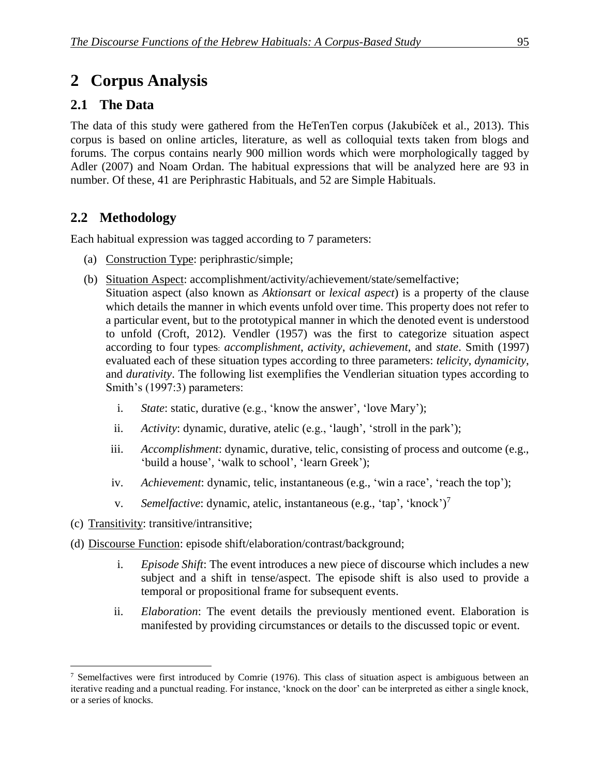# 2 Corpus Analysis

### **2.1 The Data**

The data of this study were gathered from the HeTenTen corpus (Jakubíček et al., 2013). This corpus is based on online articles, literature, as well as colloquial texts taken from blogs and forums. The corpus contains nearly 900 million words which were morphologically tagged by Adler (2007) and Noam Ordan. The habitual expressions that will be analyzed here are 93 in number. Of these, 41 are Periphrastic Habituals, and 52 are Simple Habituals.

### 2.2 Methodology

Each habitual expression was tagged according to 7 parameters:

- (a) Construction Type: periphrastic/simple;
- (b) Situation Aspect: accomplishment/activity/achievement/state/semelfactive;

Situation aspect (also known as *Aktionsart* or *lexical aspect*) is a property of the clause which details the manner in which events unfold over time. This property does not refer to a particular event, but to the prototypical manner in which the denoted event is understood to unfold (Croft, 2012). Vendler (1957) was the first to categorize situation aspect according to four types: *accomplishment*, *activity*, *achievement*, and *state*. Smith (1997) evaluated each of these situation types according to three parameters: *telicity*, *dynamicity*, and *durativity*. The following list exemplifies the Vendlerian situation types according to Smith's (1997:3) parameters:

- i. *State*: static, durative (e.g., 'know the answer', 'love Mary');
- ii. *Activity*: dynamic, durative, atelic (e.g., 'laugh', 'stroll in the park');
- iii. *Accomplishment*: dynamic, durative, telic, consisting of process and outcome (e.g., 'build a house', 'walk to school', 'learn Greek');
- iv. *Achievement*: dynamic, telic, instantaneous (e.g., 'win a race', 'reach the top');
- v. *Semelfactive*: dynamic, atelic, instantaneous (e.g., 'tap', 'knock') 7
- (c) Transitivity: transitive/intransitive;
- (d) Discourse Function: episode shift/elaboration/contrast/background;
	- i. *Episode Shift*: The event introduces a new piece of discourse which includes a new subject and a shift in tense/aspect. The episode shift is also used to provide a temporal or propositional frame for subsequent events.
	- ii. *Elaboration*: The event details the previously mentioned event. Elaboration is manifested by providing circumstances or details to the discussed topic or event.

 $\overline{a}$ <sup>7</sup> Semelfactives were first introduced by Comrie (1976). This class of situation aspect is ambiguous between an iterative reading and a punctual reading. For instance, 'knock on the door' can be interpreted as either a single knock, or a series of knocks.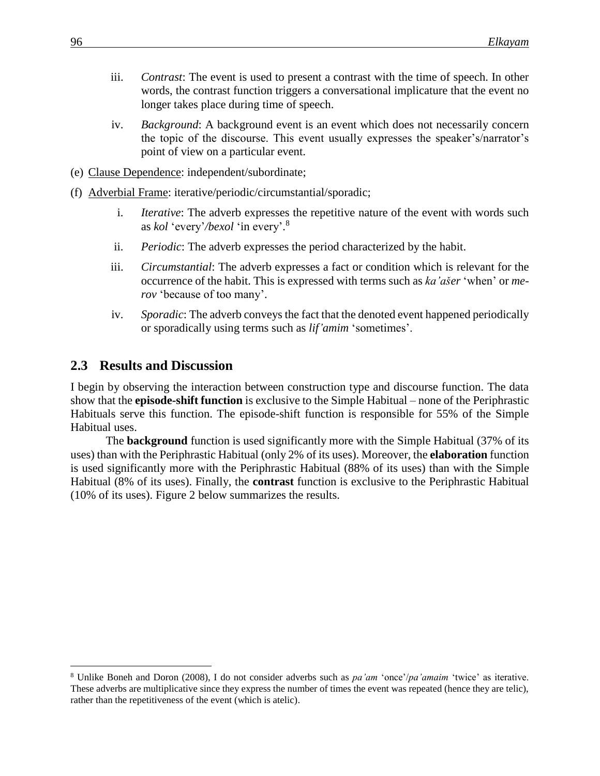- iii. *Contrast*: The event is used to present a contrast with the time of speech. In other words, the contrast function triggers a conversational implicature that the event no longer takes place during time of speech.
- iv. *Background*: A background event is an event which does not necessarily concern the topic of the discourse. This event usually expresses the speaker's/narrator's point of view on a particular event.
- (e) Clause Dependence: independent/subordinate;
- (f) Adverbial Frame: iterative/periodic/circumstantial/sporadic;
	- i. *Iterative*: The adverb expresses the repetitive nature of the event with words such as *kol* 'every'*/bexol* 'in every'. 8
	- ii. *Periodic*: The adverb expresses the period characterized by the habit.
	- iii. *Circumstantial*: The adverb expresses a fact or condition which is relevant for the occurrence of the habit. This is expressed with terms such as *ka'ašer* 'when' or *merov* 'because of too many'.
	- iv. *Sporadic*: The adverb conveys the fact that the denoted event happened periodically or sporadically using terms such as *lif'amim* 'sometimes'.

#### **2.3** Results and Discussion

I begin by observing the interaction between construction type and discourse function. The data show that the **episode-shift function** is exclusive to the Simple Habitual – none of the Periphrastic Habituals serve this function. The episode-shift function is responsible for 55% of the Simple Habitual uses.

The **background** function is used significantly more with the Simple Habitual (37% of its uses) than with the Periphrastic Habitual (only 2% of its uses). Moreover, the **elaboration** function is used significantly more with the Periphrastic Habitual (88% of its uses) than with the Simple Habitual (8% of its uses). Finally, the **contrast** function is exclusive to the Periphrastic Habitual (10% of its uses). Figure 2 below summarizes the results.

<sup>8</sup> Unlike Boneh and Doron (2008), I do not consider adverbs such as *pa'am* 'once'/*pa'amaim* 'twice' as iterative. These adverbs are multiplicative since they express the number of times the event was repeated (hence they are telic), rather than the repetitiveness of the event (which is atelic).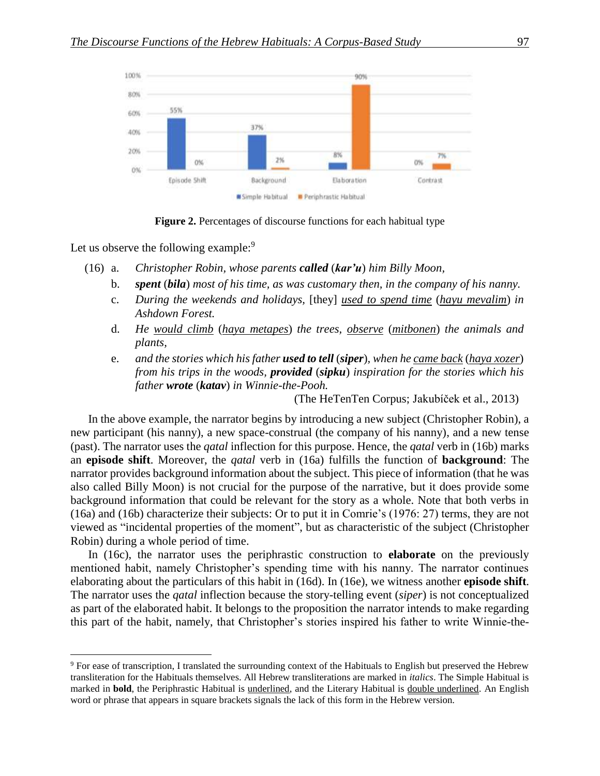



Let us observe the following example:<sup>9</sup>

 $\overline{a}$ 

- (16) a. *Christopher Robin, whose parents called* (*kar'u*) *him Billy Moon,*
	- b. *spent* (*bila*) *most of his time, as was customary then, in the company of his nanny.*
	- c. *During the weekends and holidays,* [they] *used to spend time* (*hayu mevalim*) *in Ashdown Forest.*
	- d. *He would climb* (*haya metapes*) *the trees, observe* (*mitbonen*) *the animals and plants,*
	- e. *and the stories which his father used to tell* (*siper*)*, when he came back* (*haya xozer*) *from his trips in the woods, provided* (*sipku*) *inspiration for the stories which his father wrote* (*katav*) *in Winnie-the-Pooh.*

(The HeTenTen Corpus; Jakubíček et al., 2013)

In the above example, the narrator begins by introducing a new subject (Christopher Robin), a new participant (his nanny), a new space-construal (the company of his nanny), and a new tense (past). The narrator uses the *qatal* inflection for this purpose. Hence, the *qatal* verb in (16b) marks an **episode shift**. Moreover, the *qatal* verb in (16a) fulfills the function of **background**: The narrator provides background information about the subject. This piece of information (that he was also called Billy Moon) is not crucial for the purpose of the narrative, but it does provide some background information that could be relevant for the story as a whole. Note that both verbs in (16a) and (16b) characterize their subjects: Or to put it in Comrie's (1976: 27) terms, they are not viewed as "incidental properties of the moment", but as characteristic of the subject (Christopher Robin) during a whole period of time.

In (16c), the narrator uses the periphrastic construction to **elaborate** on the previously mentioned habit, namely Christopher's spending time with his nanny. The narrator continues elaborating about the particulars of this habit in (16d). In (16e), we witness another **episode shift**. The narrator uses the *qatal* inflection because the story-telling event (*siper*) is not conceptualized as part of the elaborated habit. It belongs to the proposition the narrator intends to make regarding this part of the habit, namely, that Christopher's stories inspired his father to write Winnie-the-

<sup>9</sup> For ease of transcription, I translated the surrounding context of the Habituals to English but preserved the Hebrew transliteration for the Habituals themselves. All Hebrew transliterations are marked in *italics*. The Simple Habitual is marked in **bold**, the Periphrastic Habitual is underlined, and the Literary Habitual is double underlined. An English word or phrase that appears in square brackets signals the lack of this form in the Hebrew version.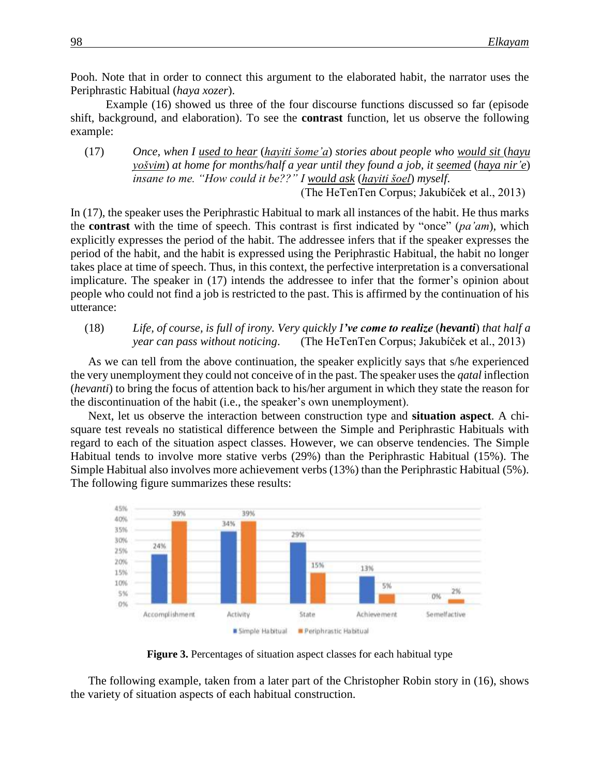Pooh. Note that in order to connect this argument to the elaborated habit, the narrator uses the Periphrastic Habitual (*haya xozer*).

Example (16) showed us three of the four discourse functions discussed so far (episode shift, background, and elaboration). To see the **contrast** function, let us observe the following example:

(17) *Once, when I used to hear* (*hayiti šome'a*) *stories about people who would sit* (*hayu yošvim*) *at home for months/half a year until they found a job, it seemed* (*haya nir'e*) *insane to me. "How could it be??" I would ask* (*hayiti šoel*) *myself*.

(The HeTenTen Corpus; Jakubíček et al., 2013)

In (17), the speaker uses the Periphrastic Habitual to mark all instances of the habit. He thus marks the **contrast** with the time of speech. This contrast is first indicated by "once" (*pa'am*), which explicitly expresses the period of the habit. The addressee infers that if the speaker expresses the period of the habit, and the habit is expressed using the Periphrastic Habitual, the habit no longer takes place at time of speech. Thus, in this context, the perfective interpretation is a conversational implicature. The speaker in (17) intends the addressee to infer that the former's opinion about people who could not find a job is restricted to the past. This is affirmed by the continuation of his utterance:

(18) *Life, of course, is full of irony. Very quickly I've come to realize* (*hevanti*) *that half a year can pass without noticing*. (The HeTenTen Corpus; Jakubíček et al., 2013)

As we can tell from the above continuation, the speaker explicitly says that s/he experienced the very unemployment they could not conceive of in the past. The speaker uses the *qatal* inflection (*hevanti*) to bring the focus of attention back to his/her argument in which they state the reason for the discontinuation of the habit (i.e., the speaker's own unemployment).

Next, let us observe the interaction between construction type and **situation aspect**. A chisquare test reveals no statistical difference between the Simple and Periphrastic Habituals with regard to each of the situation aspect classes. However, we can observe tendencies. The Simple Habitual tends to involve more stative verbs (29%) than the Periphrastic Habitual (15%). The Simple Habitual also involves more achievement verbs (13%) than the Periphrastic Habitual (5%). The following figure summarizes these results:



**Figure 3.** Percentages of situation aspect classes for each habitual type

The following example, taken from a later part of the Christopher Robin story in (16), shows the variety of situation aspects of each habitual construction.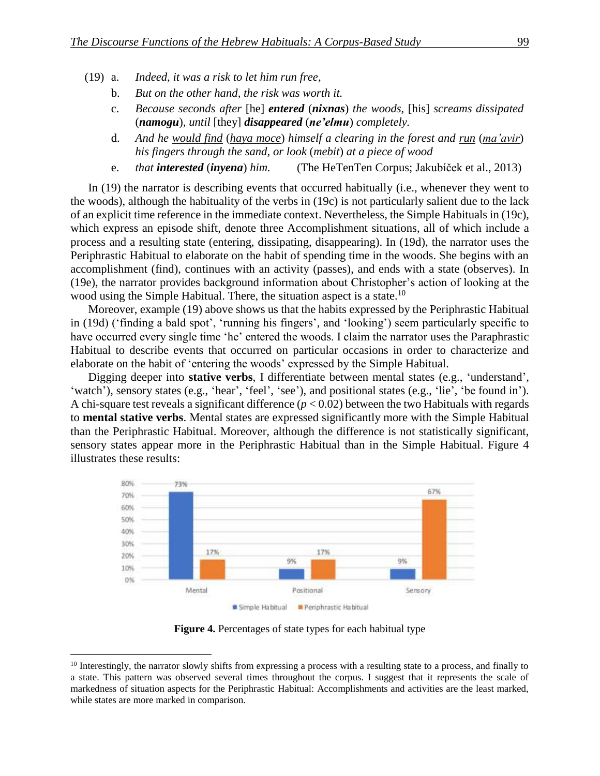- (19) a. *Indeed, it was a risk to let him run free,*
	- b. *But on the other hand, the risk was worth it.*
	- c. *Because seconds after* [he] *entered* (*nixnas*) *the woods,* [his] *screams dissipated*  (*namogu*)*, until* [they] *disappeared* (*ne'elmu*) *completely.*
	- d. *And he would find* (*haya moce*) *himself a clearing in the forest and run* (*ma'avir*) *his fingers through the sand, or look* (*mebit*) *at a piece of wood*
	- e. *that interested* (*inyena*) *him.* (The HeTenTen Corpus; Jakubíček et al., 2013)

In (19) the narrator is describing events that occurred habitually (i.e., whenever they went to the woods), although the habituality of the verbs in (19c) is not particularly salient due to the lack of an explicit time reference in the immediate context. Nevertheless, the Simple Habituals in (19c), which express an episode shift, denote three Accomplishment situations, all of which include a process and a resulting state (entering, dissipating, disappearing). In (19d), the narrator uses the Periphrastic Habitual to elaborate on the habit of spending time in the woods. She begins with an accomplishment (find), continues with an activity (passes), and ends with a state (observes). In (19e), the narrator provides background information about Christopher's action of looking at the wood using the Simple Habitual. There, the situation aspect is a state.<sup>10</sup>

Moreover, example (19) above shows us that the habits expressed by the Periphrastic Habitual in (19d) ('finding a bald spot', 'running his fingers', and 'looking') seem particularly specific to have occurred every single time 'he' entered the woods. I claim the narrator uses the Paraphrastic Habitual to describe events that occurred on particular occasions in order to characterize and elaborate on the habit of 'entering the woods' expressed by the Simple Habitual.

Digging deeper into **stative verbs**, I differentiate between mental states (e.g., 'understand', 'watch'), sensory states (e.g., 'hear', 'feel', 'see'), and positional states (e.g., 'lie', 'be found in'). A chi-square test reveals a significant difference  $(p < 0.02)$  between the two Habituals with regards to **mental stative verbs**. Mental states are expressed significantly more with the Simple Habitual than the Periphrastic Habitual. Moreover, although the difference is not statistically significant, sensory states appear more in the Periphrastic Habitual than in the Simple Habitual. Figure 4 illustrates these results:



**Figure 4.** Percentages of state types for each habitual type

 $10$  Interestingly, the narrator slowly shifts from expressing a process with a resulting state to a process, and finally to a state. This pattern was observed several times throughout the corpus. I suggest that it represents the scale of markedness of situation aspects for the Periphrastic Habitual: Accomplishments and activities are the least marked, while states are more marked in comparison.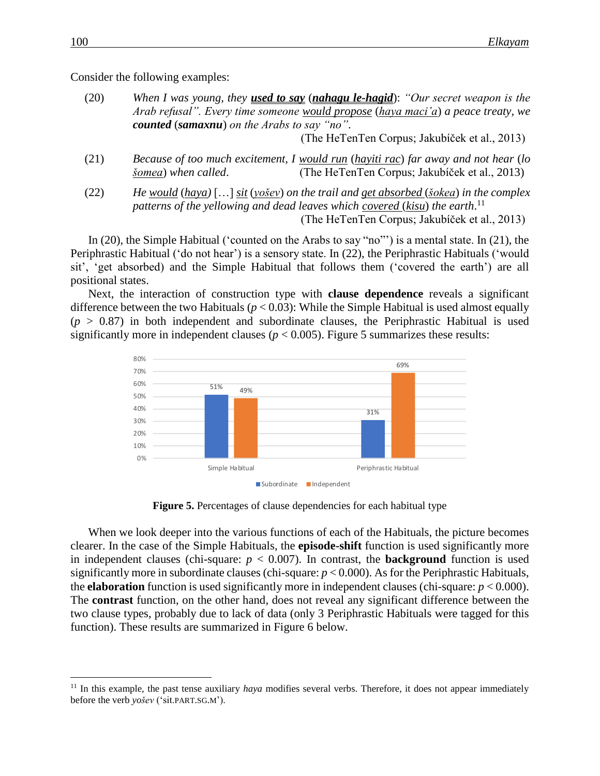Consider the following examples:

(20) *When I was young, they used to say* (*nahagu le-hagid*): *"Our secret weapon is the Arab refusal". Every time someone would propose* (*haya maci'a*) *a peace treaty, we counted* (*samaxnu*) *on the Arabs to say "no"*.

(The HeTenTen Corpus; Jakubíček et al., 2013)

- (21) *Because of too much excitement, I would run* (*hayiti rac*) *far away and not hear* (*lo šomea*) *when called*. (The HeTenTen Corpus; Jakubíček et al., 2013)
- (22) *He would* (*haya)* […] *sit* (*yošev*) *on the trail and get absorbed* (*šokea*) *in the complex patterns of the yellowing and dead leaves which covered* (*kisu*) *the earth*. 11 (The HeTenTen Corpus; Jakubíček et al., 2013)

In (20), the Simple Habitual ('counted on the Arabs to say "no"') is a mental state. In (21), the Periphrastic Habitual ('do not hear') is a sensory state. In (22), the Periphrastic Habituals ('would sit', 'get absorbed) and the Simple Habitual that follows them ('covered the earth') are all positional states.

Next, the interaction of construction type with **clause dependence** reveals a significant difference between the two Habituals (*p* < 0.03): While the Simple Habitual is used almost equally  $(p > 0.87)$  in both independent and subordinate clauses, the Periphrastic Habitual is used significantly more in independent clauses ( $p < 0.005$ ). Figure 5 summarizes these results:



**Figure 5.** Percentages of clause dependencies for each habitual type

When we look deeper into the various functions of each of the Habituals, the picture becomes clearer. In the case of the Simple Habituals, the **episode-shift** function is used significantly more in independent clauses (chi-square:  $p < 0.007$ ). In contrast, the **background** function is used significantly more in subordinate clauses (chi-square:  $p < 0.000$ ). As for the Periphrastic Habituals, the **elaboration** function is used significantly more in independent clauses (chi-square:  $p < 0.000$ ). The **contrast** function, on the other hand, does not reveal any significant difference between the two clause types, probably due to lack of data (only 3 Periphrastic Habituals were tagged for this function). These results are summarized in Figure 6 below.

<sup>&</sup>lt;sup>11</sup> In this example, the past tense auxiliary *haya* modifies several verbs. Therefore, it does not appear immediately before the verb *yošev* ('sit.PART.SG.M').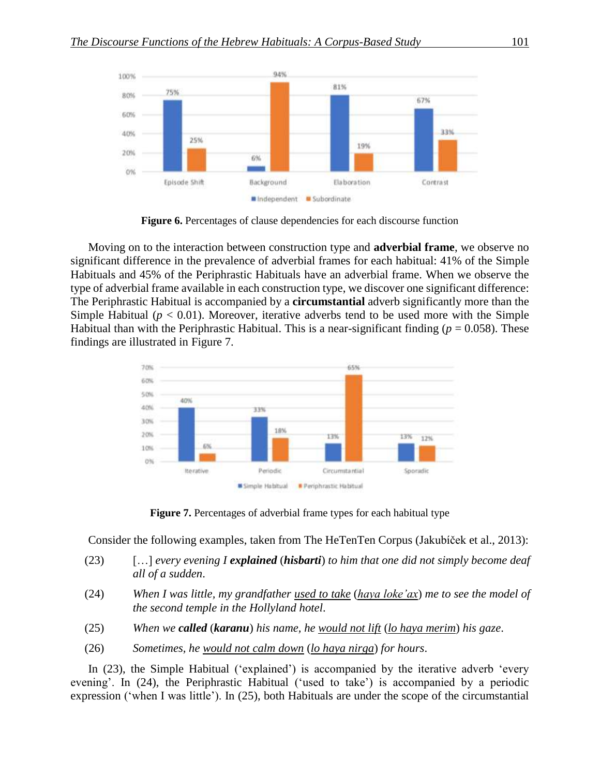

**Figure 6.** Percentages of clause dependencies for each discourse function

Moving on to the interaction between construction type and **adverbial frame**, we observe no significant difference in the prevalence of adverbial frames for each habitual: 41% of the Simple Habituals and 45% of the Periphrastic Habituals have an adverbial frame. When we observe the type of adverbial frame available in each construction type, we discover one significant difference: The Periphrastic Habitual is accompanied by a **circumstantial** adverb significantly more than the Simple Habitual ( $p < 0.01$ ). Moreover, iterative adverbs tend to be used more with the Simple Habitual than with the Periphrastic Habitual. This is a near-significant finding ( $p = 0.058$ ). These findings are illustrated in Figure 7.



**Figure 7.** Percentages of adverbial frame types for each habitual type

Consider the following examples, taken from The HeTenTen Corpus (Jakubíček et al., 2013):

- (23) […] *every evening I explained* (*hisbarti*) *to him that one did not simply become deaf all of a sudden*.
- (24) *When I was little, my grandfather used to take* (*haya loke'ax*) *me to see the model of the second temple in the Hollyland hotel*.
- (25) *When we called* (*karanu*) *his name, he would not lift* (*lo haya merim*) *his gaze*.
- (26) *Sometimes, he would not calm down* (*lo haya nirga*) *for hours*.

In (23), the Simple Habitual ('explained') is accompanied by the iterative adverb 'every evening'. In (24), the Periphrastic Habitual ('used to take') is accompanied by a periodic expression ('when I was little'). In (25), both Habituals are under the scope of the circumstantial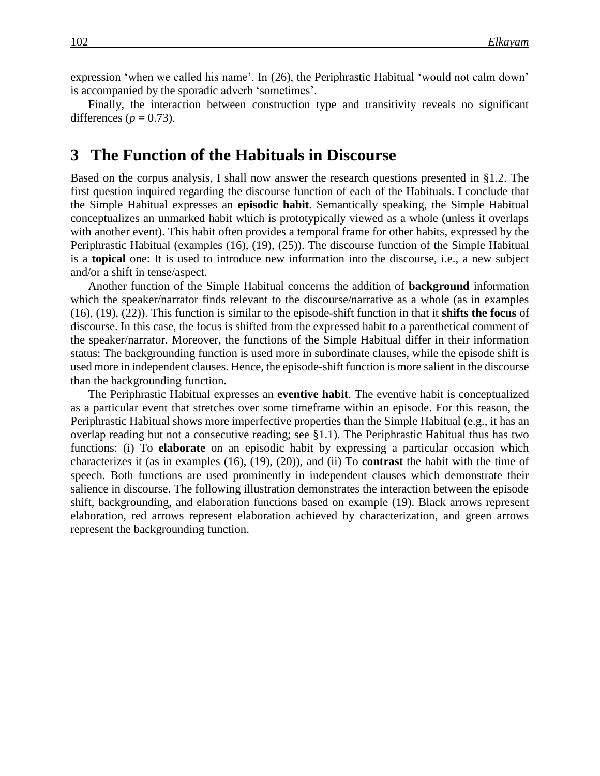expression 'when we called his name'. In (26), the Periphrastic Habitual 'would not calm down' is accompanied by the sporadic adverb 'sometimes'.

Finally, the interaction between construction type and transitivity reveals no significant differences ( $p = 0.73$ ).

### **3**xx**The Function of the Habituals in Discourse**

Based on the corpus analysis, I shall now answer the research questions presented in §1.2. The first question inquired regarding the discourse function of each of the Habituals. I conclude that the Simple Habitual expresses an **episodic habit**. Semantically speaking, the Simple Habitual conceptualizes an unmarked habit which is prototypically viewed as a whole (unless it overlaps with another event). This habit often provides a temporal frame for other habits, expressed by the Periphrastic Habitual (examples (16), (19), (25)). The discourse function of the Simple Habitual is a **topical** one: It is used to introduce new information into the discourse, i.e., a new subject and/or a shift in tense/aspect.

Another function of the Simple Habitual concerns the addition of **background** information which the speaker/narrator finds relevant to the discourse/narrative as a whole (as in examples (16), (19), (22)). This function is similar to the episode-shift function in that it **shifts the focus** of discourse. In this case, the focus is shifted from the expressed habit to a parenthetical comment of the speaker/narrator. Moreover, the functions of the Simple Habitual differ in their information status: The backgrounding function is used more in subordinate clauses, while the episode shift is used more in independent clauses. Hence, the episode-shift function is more salient in the discourse than the backgrounding function.

The Periphrastic Habitual expresses an **eventive habit**. The eventive habit is conceptualized as a particular event that stretches over some timeframe within an episode. For this reason, the Periphrastic Habitual shows more imperfective properties than the Simple Habitual (e.g., it has an overlap reading but not a consecutive reading; see §1.1). The Periphrastic Habitual thus has two functions: (i) To **elaborate** on an episodic habit by expressing a particular occasion which characterizes it (as in examples (16), (19), (20)), and (ii) To **contrast** the habit with the time of speech. Both functions are used prominently in independent clauses which demonstrate their salience in discourse. The following illustration demonstrates the interaction between the episode shift, backgrounding, and elaboration functions based on example (19). Black arrows represent elaboration, red arrows represent elaboration achieved by characterization, and green arrows represent the backgrounding function.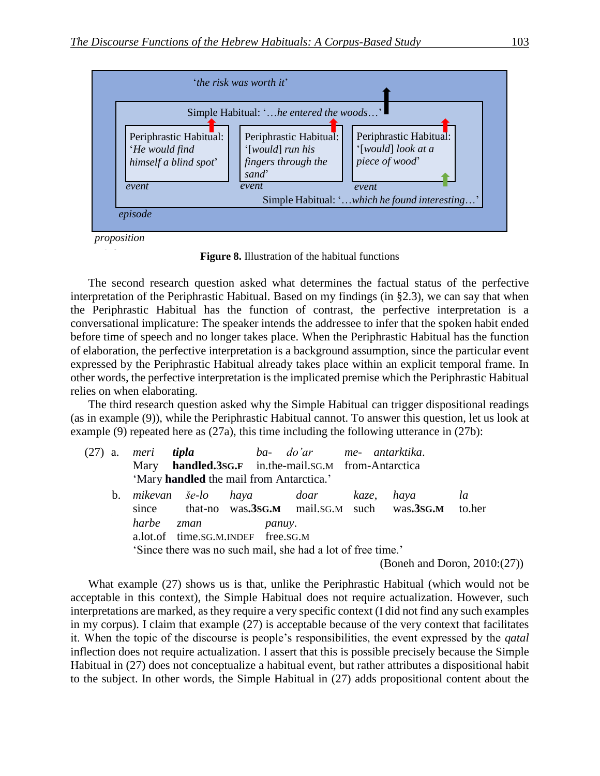

*proposition*

**Figure 8.** Illustration of the habitual functions

The second research question asked what determines the factual status of the perfective interpretation of the Periphrastic Habitual. Based on my findings (in §2.3), we can say that when the Periphrastic Habitual has the function of contrast, the perfective interpretation is a conversational implicature: The speaker intends the addressee to infer that the spoken habit ended before time of speech and no longer takes place. When the Periphrastic Habitual has the function of elaboration, the perfective interpretation is a background assumption, since the particular event expressed by the Periphrastic Habitual already takes place within an explicit temporal frame. In other words, the perfective interpretation is the implicated premise which the Periphrastic Habitual relies on when elaborating.

The third research question asked why the Simple Habitual can trigger dispositional readings (as in example (9)), while the Periphrastic Habitual cannot. To answer this question, let us look at example (9) repeated here as (27a), this time including the following utterance in (27b):

| $(27)$ a. |       |      | meri <b>tipla</b> ba- do'ar  me- antarktika.                                                                       |  |                                                                 |                                 |
|-----------|-------|------|--------------------------------------------------------------------------------------------------------------------|--|-----------------------------------------------------------------|---------------------------------|
|           |       |      | Mary handled.3sG.F in.the-mail.sG.M from-Antarctica                                                                |  |                                                                 |                                 |
|           |       |      | 'Mary handled the mail from Antarctica.'                                                                           |  |                                                                 |                                 |
|           |       |      | b. mikevan še-lo haya doar kaze,                                                                                   |  | haya<br>since that-no was.3sG.M mail.sG.M such was.3sG.M to.her | la                              |
|           | harbe | zman | <i>panuy.</i><br>a.lot.of time.sG.M.INDEF free.sG.M<br>'Since there was no such mail, she had a lot of free time.' |  |                                                                 |                                 |
|           |       |      |                                                                                                                    |  |                                                                 | (Boneh and Doron, $2010:(27)$ ) |

What example (27) shows us is that, unlike the Periphrastic Habitual (which would not be acceptable in this context), the Simple Habitual does not require actualization. However, such interpretations are marked, as they require a very specific context (I did not find any such examples in my corpus). I claim that example (27) is acceptable because of the very context that facilitates it. When the topic of the discourse is people's responsibilities, the event expressed by the *qatal* inflection does not require actualization. I assert that this is possible precisely because the Simple Habitual in (27) does not conceptualize a habitual event, but rather attributes a dispositional habit to the subject. In other words, the Simple Habitual in (27) adds propositional content about the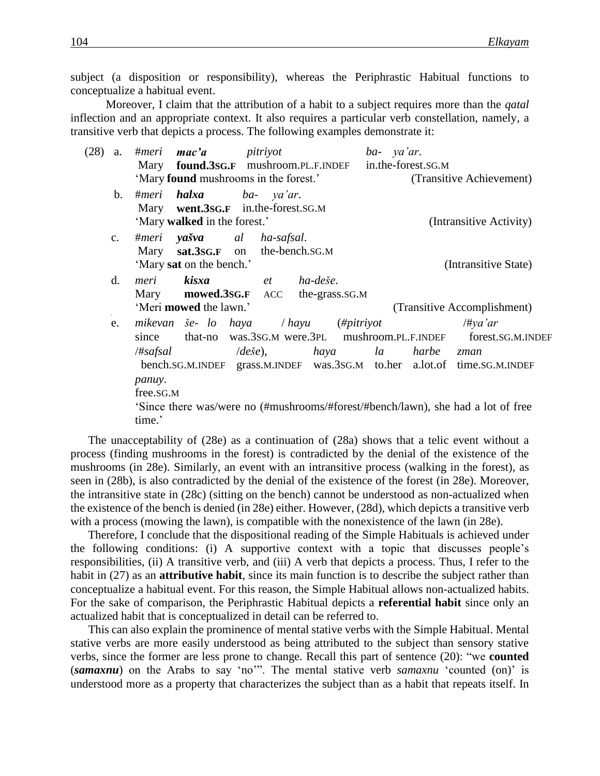subject (a disposition or responsibility), whereas the Periphrastic Habitual functions to conceptualize a habitual event.

Moreover, I claim that the attribution of a habit to a subject requires more than the *qatal* inflection and an appropriate context. It also requires a particular verb constellation, namely, a transitive verb that depicts a process. The following examples demonstrate it:

| (28) | a.            | mac'a<br>#meri<br>pitriyot                                                                                                                                                                                                                                                                                                                     | ba- ya'ar.                                                        |
|------|---------------|------------------------------------------------------------------------------------------------------------------------------------------------------------------------------------------------------------------------------------------------------------------------------------------------------------------------------------------------|-------------------------------------------------------------------|
|      |               | found.3sG.F mushroom.PL.F.INDEF<br>Mary                                                                                                                                                                                                                                                                                                        | in.the-forest.SG.M                                                |
|      |               | 'Mary found mushrooms in the forest.'                                                                                                                                                                                                                                                                                                          | (Transitive Achievement)                                          |
|      | b.            | <b>halxa</b> ba- ya'ar.<br>#meri<br>Mary went.3sG.F in.the-forest.sG.M<br>'Mary walked in the forest.'                                                                                                                                                                                                                                         | (Intransitive Activity)                                           |
|      | $C_{\bullet}$ | <b>yašva</b> al ha-safsal.<br>#meri<br>Mary sat.3sG.F on the-bench.SG.M<br>'Mary sat on the bench.'                                                                                                                                                                                                                                            | (Intransitive State)                                              |
|      | d.            | meri kisxa<br>ha-deše.<br>$et$ and $et$<br>Mary mowed.3sg.F<br>the-grass.SG.M<br>ACC<br>'Meri mowed the lawn.'                                                                                                                                                                                                                                 | (Transitive Accomplishment)                                       |
|      | e.            | mikevan še- lo haya / hayu<br>that-no was.3sG.M were.3PL mushroom.PL.F.INDEF<br>since<br>/#safsal<br>$\langle de \check{s}e \rangle$ ,<br>haya<br>bench.SG.M.INDEF grass.M.INDEF was.3SG.M to.her a.lot.of time.SG.M.INDEF<br>panuy.<br>free.SG.M<br>Since there was/were no (#mushrooms/#forest/#bench/lawn), she had a lot of free<br>time.' | $(\#pitrivot)$<br>#ya'ar<br>forest.SG.M.INDEF<br>la<br>harbe zman |

The unacceptability of (28e) as a continuation of (28a) shows that a telic event without a process (finding mushrooms in the forest) is contradicted by the denial of the existence of the mushrooms (in 28e). Similarly, an event with an intransitive process (walking in the forest), as seen in (28b), is also contradicted by the denial of the existence of the forest (in 28e). Moreover, the intransitive state in (28c) (sitting on the bench) cannot be understood as non-actualized when the existence of the bench is denied (in 28e) either. However, (28d), which depicts a transitive verb with a process (mowing the lawn), is compatible with the nonexistence of the lawn (in 28e).

Therefore, I conclude that the dispositional reading of the Simple Habituals is achieved under the following conditions: (i) A supportive context with a topic that discusses people's responsibilities, (ii) A transitive verb, and (iii) A verb that depicts a process. Thus, I refer to the habit in (27) as an **attributive habit**, since its main function is to describe the subject rather than conceptualize a habitual event. For this reason, the Simple Habitual allows non-actualized habits. For the sake of comparison, the Periphrastic Habitual depicts a **referential habit** since only an actualized habit that is conceptualized in detail can be referred to.

This can also explain the prominence of mental stative verbs with the Simple Habitual. Mental stative verbs are more easily understood as being attributed to the subject than sensory stative verbs, since the former are less prone to change. Recall this part of sentence (20): "we **counted** (*samaxnu*) on the Arabs to say 'no'". The mental stative verb *samaxnu* 'counted (on)' is understood more as a property that characterizes the subject than as a habit that repeats itself. In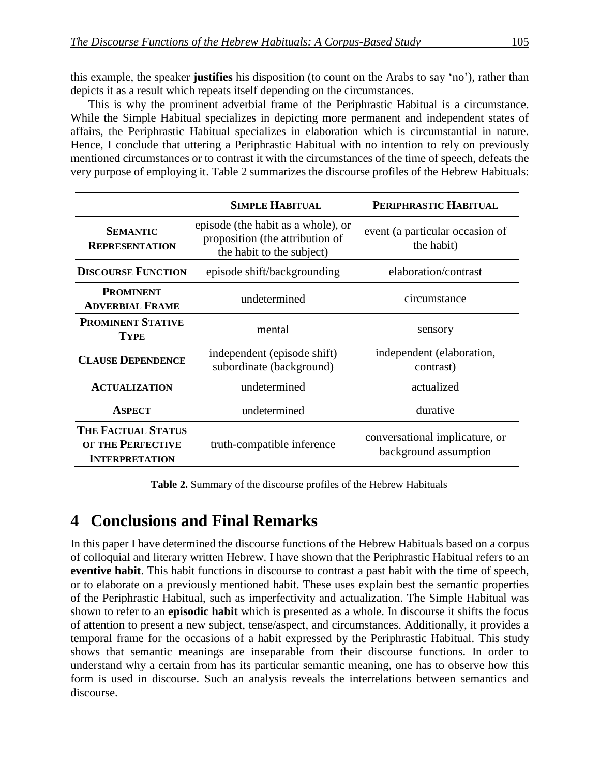this example, the speaker **justifies** his disposition (to count on the Arabs to say 'no'), rather than depicts it as a result which repeats itself depending on the circumstances.

This is why the prominent adverbial frame of the Periphrastic Habitual is a circumstance. While the Simple Habitual specializes in depicting more permanent and independent states of affairs, the Periphrastic Habitual specializes in elaboration which is circumstantial in nature. Hence, I conclude that uttering a Periphrastic Habitual with no intention to rely on previously mentioned circumstances or to contrast it with the circumstances of the time of speech, defeats the very purpose of employing it. Table 2 summarizes the discourse profiles of the Hebrew Habituals:

|                                                                         | <b>SIMPLE HABITUAL</b>                                                                             | PERIPHRASTIC HABITUAL                                   |
|-------------------------------------------------------------------------|----------------------------------------------------------------------------------------------------|---------------------------------------------------------|
| <b>SEMANTIC</b><br><b>REPRESENTATION</b>                                | episode (the habit as a whole), or<br>proposition (the attribution of<br>the habit to the subject) | event (a particular occasion of<br>the habit)           |
| <b>DISCOURSE FUNCTION</b>                                               | episode shift/backgrounding                                                                        | elaboration/contrast                                    |
| <b>PROMINENT</b><br><b>ADVERBIAL FRAME</b>                              | undetermined                                                                                       | circumstance                                            |
| <b>PROMINENT STATIVE</b><br><b>TYPE</b>                                 | mental                                                                                             | sensory                                                 |
| <b>CLAUSE DEPENDENCE</b>                                                | independent (episode shift)<br>subordinate (background)                                            | independent (elaboration,<br>contrast)                  |
| <b>ACTUALIZATION</b>                                                    | undetermined                                                                                       | actualized                                              |
| <b>ASPECT</b>                                                           | undetermined                                                                                       | durative                                                |
| <b>THE FACTUAL STATUS</b><br>OF THE PERFECTIVE<br><b>INTERPRETATION</b> | truth-compatible inference                                                                         | conversational implicature, or<br>background assumption |

**Table 2.** Summary of the discourse profiles of the Hebrew Habituals

## **4** Conclusions and Final Remarks

In this paper I have determined the discourse functions of the Hebrew Habituals based on a corpus of colloquial and literary written Hebrew. I have shown that the Periphrastic Habitual refers to an **eventive habit**. This habit functions in discourse to contrast a past habit with the time of speech, or to elaborate on a previously mentioned habit. These uses explain best the semantic properties of the Periphrastic Habitual, such as imperfectivity and actualization. The Simple Habitual was shown to refer to an **episodic habit** which is presented as a whole. In discourse it shifts the focus of attention to present a new subject, tense/aspect, and circumstances. Additionally, it provides a temporal frame for the occasions of a habit expressed by the Periphrastic Habitual. This study shows that semantic meanings are inseparable from their discourse functions. In order to understand why a certain from has its particular semantic meaning, one has to observe how this form is used in discourse. Such an analysis reveals the interrelations between semantics and discourse.